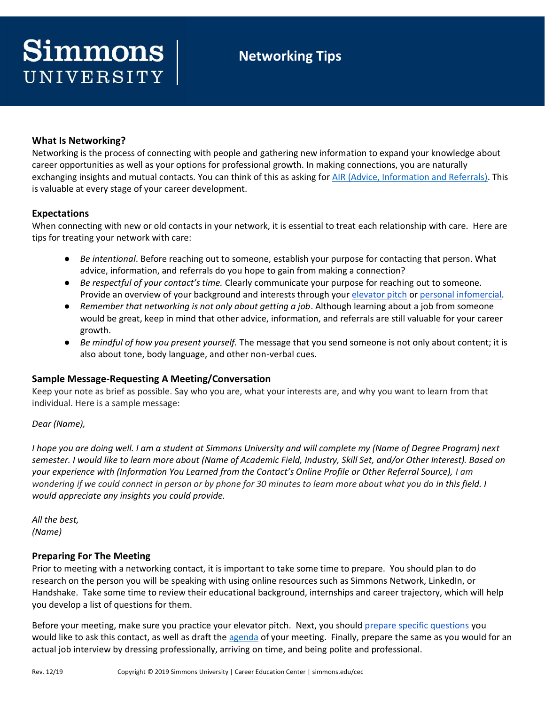# **Networking Tips**

# **What Is Networking?**

Networking is the process of connecting with people and gathering new information to expand your knowledge about career opportunities as well as your options for professional growth. In making connections, you are naturally exchanging insights and mutual contacts. You can think of this as asking for [AIR \(Advice, Information and Referrals\).](https://www.simmons.edu/sites/default/files/2022-04/CEC-Networking-Asking-for-AIR.pdf) This is valuable at every stage of your career development.

# **Expectations**

When connecting with new or old contacts in your network, it is essential to treat each relationship with care. Here are tips for treating your network with care:

- *Be intentional*. Before reaching out to someone, establish your purpose for contacting that person. What advice, information, and referrals do you hope to gain from making a connection?
- *Be respectful of your contact's time.* Clearly communicate your purpose for reaching out to someone. Provide an overview of your background and interests through your [elevator pitch](https://www.simmons.edu/sites/default/files/2022-04/CEC-Student-Elevator-Speech.pdf) or [personal infomercial.](https://www.simmons.edu/sites/default/files/2022-04/CEC-Marketing-Yourself-Professionally-Two-Minute-Infomercial.pdf)
- *Remember that networking is not only about getting a job*. Although learning about a job from someone would be great, keep in mind that other advice, information, and referrals are still valuable for your career growth.
- *Be mindful of how you present yourself.* The message that you send someone is not only about content; it is also about tone, body language, and other non-verbal cues.

#### **Sample Message-Requesting A Meeting/Conversation**

Keep your note as brief as possible. Say who you are, what your interests are, and why you want to learn from that individual. Here is a sample message:

#### *Dear (Name),*

*I hope you are doing well. I am a student at Simmons University and will complete my (Name of Degree Program) next semester. I would like to learn more about (Name of Academic Field, Industry, Skill Set, and/or Other Interest). Based on your experience with (Information You Learned from the Contact's Online Profile or Other Referral Source), I am wondering if we could connect in person or by phone for 30 minutes to learn more about what you do in this field. I would appreciate any insights you could provide.*

*All the best, (Name)*

#### **Preparing For The Meeting**

Prior to meeting with a networking contact, it is important to take some time to prepare. You should plan to do research on the person you will be speaking with using online resources such as Simmons Network, LinkedIn, or Handshake. Take some time to review their educational background, internships and career trajectory, which will help you develop a list of questions for them.

Before your meeting, make sure you practice your elevator pitch. Next, you should [prepare specific questions](https://www.simmons.edu/sites/default/files/2022-04/CEC-Sample-Informational-Interview-Questions.pdf) you would like to ask this contact, as well as draft the [agenda](https://www.simmons.edu/sites/default/files/2022-04/CEC-Informational-Interview-Agenda.pdf) of your meeting. Finally, prepare the same as you would for an actual job interview by dressing professionally, arriving on time, and being polite and professional.